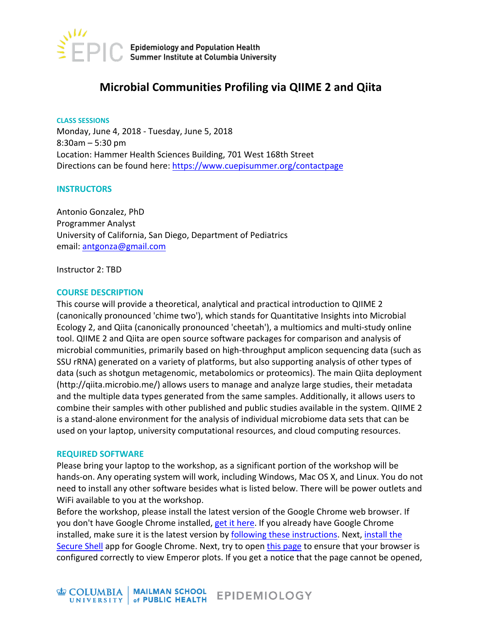

# **Microbial Communities Profiling via QIIME 2 and Qiita**

**CLASS SESSIONS** Monday, June 4, 2018 - Tuesday, June 5, 2018  $8:30$ am – 5:30 pm Location: Hammer Health Sciences Building, 701 West 168th Street Directions can be found here: https://www.cuepisummer.org/contactpage

#### **INSTRUCTORS**

Antonio Gonzalez, PhD Programmer Analyst University of California, San Diego, Department of Pediatrics email: antgonza@gmail.com

Instructor 2: TBD

#### **COURSE DESCRIPTION**

This course will provide a theoretical, analytical and practical introduction to QIIME 2 (canonically pronounced 'chime two'), which stands for Quantitative Insights into Microbial Ecology 2, and Qiita (canonically pronounced 'cheetah'), a multiomics and multi-study online tool. QIIME 2 and Qiita are open source software packages for comparison and analysis of microbial communities, primarily based on high-throughput amplicon sequencing data (such as SSU rRNA) generated on a variety of platforms, but also supporting analysis of other types of data (such as shotgun metagenomic, metabolomics or proteomics). The main Qiita deployment (http://qiita.microbio.me/) allows users to manage and analyze large studies, their metadata and the multiple data types generated from the same samples. Additionally, it allows users to combine their samples with other published and public studies available in the system. QIIME 2 is a stand-alone environment for the analysis of individual microbiome data sets that can be used on your laptop, university computational resources, and cloud computing resources.

#### **REQUIRED SOFTWARE**

Please bring your laptop to the workshop, as a significant portion of the workshop will be hands-on. Any operating system will work, including Windows, Mac OS X, and Linux. You do not need to install any other software besides what is listed below. There will be power outlets and WiFi available to you at the workshop.

Before the workshop, please install the latest version of the Google Chrome web browser. If you don't have Google Chrome installed, get it here. If you already have Google Chrome installed, make sure it is the latest version by following these instructions. Next, install the Secure Shell app for Google Chrome. Next, try to open this page to ensure that your browser is configured correctly to view Emperor plots. If you get a notice that the page cannot be opened,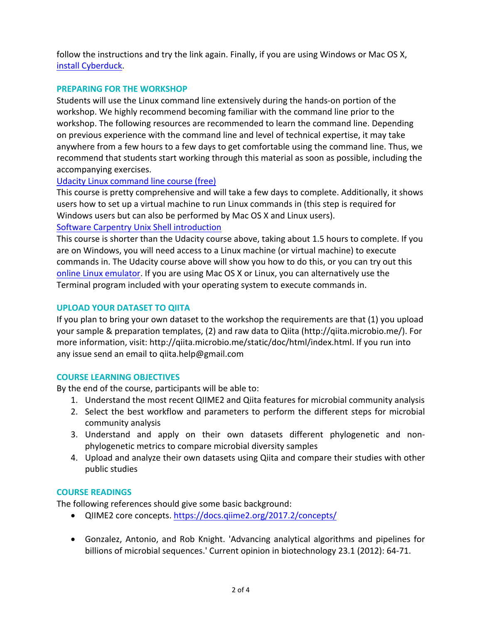follow the instructions and try the link again. Finally, if you are using Windows or Mac OS X, install Cyberduck.

## **PREPARING FOR THE WORKSHOP**

Students will use the Linux command line extensively during the hands-on portion of the workshop. We highly recommend becoming familiar with the command line prior to the workshop. The following resources are recommended to learn the command line. Depending on previous experience with the command line and level of technical expertise, it may take anywhere from a few hours to a few days to get comfortable using the command line. Thus, we recommend that students start working through this material as soon as possible, including the accompanying exercises.

### Udacity Linux command line course (free)

This course is pretty comprehensive and will take a few days to complete. Additionally, it shows users how to set up a virtual machine to run Linux commands in (this step is required for Windows users but can also be performed by Mac OS X and Linux users).

## Software Carpentry Unix Shell introduction

This course is shorter than the Udacity course above, taking about 1.5 hours to complete. If you are on Windows, you will need access to a Linux machine (or virtual machine) to execute commands in. The Udacity course above will show you how to do this, or you can try out this online Linux emulator. If you are using Mac OS X or Linux, you can alternatively use the Terminal program included with your operating system to execute commands in.

### **UPLOAD YOUR DATASET TO QIITA**

If you plan to bring your own dataset to the workshop the requirements are that  $(1)$  you upload your sample & preparation templates, (2) and raw data to Qiita (http://qiita.microbio.me/). For more information, visit: http://qiita.microbio.me/static/doc/html/index.html. If you run into any issue send an email to qiita.help@gmail.com

# **COURSE LEARNING OBJECTIVES**

By the end of the course, participants will be able to:

- 1. Understand the most recent QIIME2 and Qiita features for microbial community analysis
- 2. Select the best workflow and parameters to perform the different steps for microbial community analysis
- 3. Understand and apply on their own datasets different phylogenetic and nonphylogenetic metrics to compare microbial diversity samples
- 4. Upload and analyze their own datasets using Qiita and compare their studies with other public studies

#### **COURSE READINGS**

The following references should give some basic background:

- QIIME2 core concepts. https://docs.qiime2.org/2017.2/concepts/
- Gonzalez, Antonio, and Rob Knight. 'Advancing analytical algorithms and pipelines for billions of microbial sequences.' Current opinion in biotechnology 23.1 (2012): 64-71.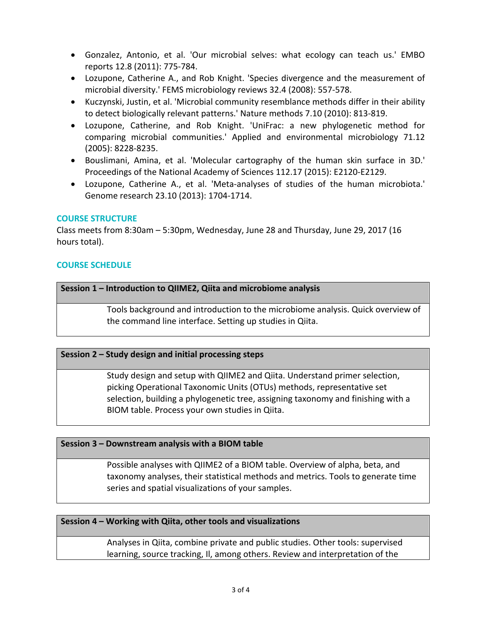- Gonzalez, Antonio, et al. 'Our microbial selves: what ecology can teach us.' EMBO reports 12.8 (2011): 775-784.
- Lozupone, Catherine A., and Rob Knight. 'Species divergence and the measurement of microbial diversity.' FEMS microbiology reviews 32.4 (2008): 557-578.
- Kuczynski, Justin, et al. 'Microbial community resemblance methods differ in their ability to detect biologically relevant patterns.' Nature methods 7.10 (2010): 813-819.
- Lozupone, Catherine, and Rob Knight. 'UniFrac: a new phylogenetic method for comparing microbial communities.' Applied and environmental microbiology 71.12 (2005): 8228-8235.
- Bouslimani, Amina, et al. 'Molecular cartography of the human skin surface in 3D.' Proceedings of the National Academy of Sciences 112.17 (2015): E2120-E2129.
- Lozupone, Catherine A., et al. 'Meta-analyses of studies of the human microbiota.' Genome research 23.10 (2013): 1704-1714.

### **COURSE STRUCTURE**

Class meets from 8:30am  $-5:30$ pm, Wednesday, June 28 and Thursday, June 29, 2017 (16 hours total).

### **COURSE SCHEDULE**

#### **Session 1 – Introduction to QIIME2, Qiita and microbiome analysis**

Tools background and introduction to the microbiome analysis. Quick overview of the command line interface. Setting up studies in Qiita.

#### **Session 2 - Study design and initial processing steps**

Study design and setup with QIIME2 and Qiita. Understand primer selection, picking Operational Taxonomic Units (OTUs) methods, representative set selection, building a phylogenetic tree, assigning taxonomy and finishing with a BIOM table. Process your own studies in Qiita.

#### **Session 3 - Downstream analysis with a BIOM table**

Possible analyses with QIIME2 of a BIOM table. Overview of alpha, beta, and taxonomy analyses, their statistical methods and metrics. Tools to generate time series and spatial visualizations of your samples.

#### **Session 4 – Working with Qiita, other tools and visualizations**

Analyses in Qiita, combine private and public studies. Other tools: supervised learning, source tracking, II, among others. Review and interpretation of the